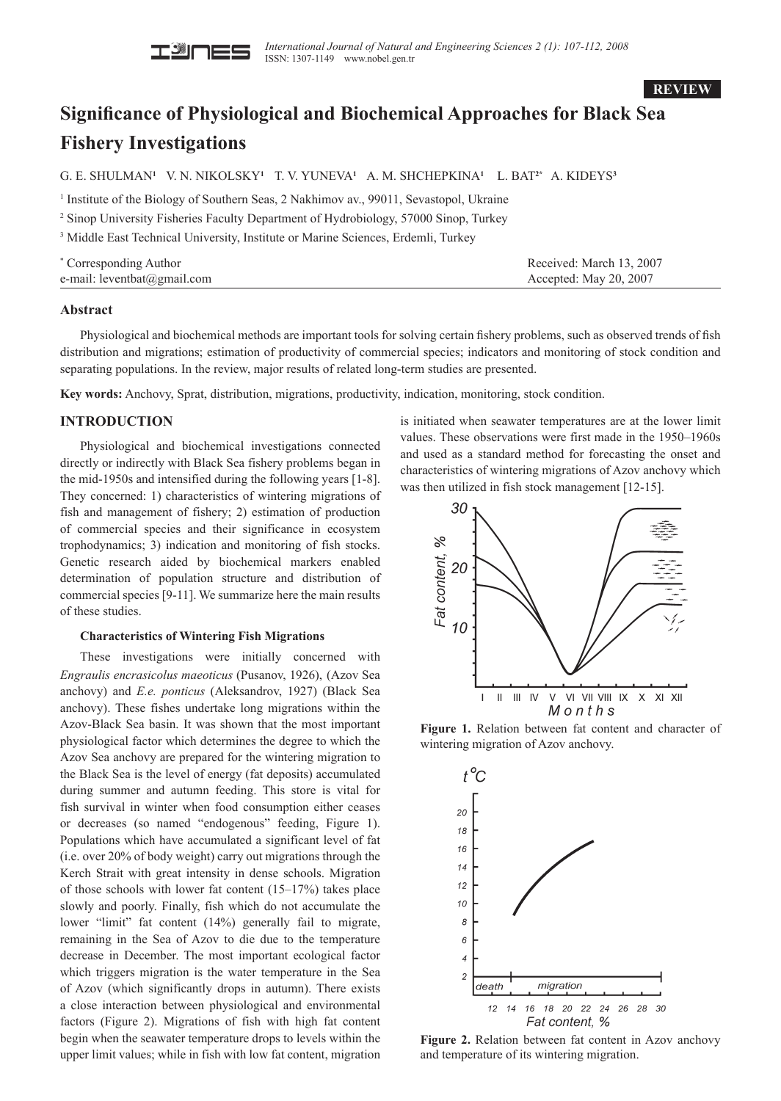

**REVIEW**

# **Significance of Physiological and Biochemical Approaches for Black Sea Fishery Investigations**

G. E. SHULMAN**<sup>1</sup>** V. N. NIKOLSKY**<sup>1</sup>** T. V. YUNEVA**<sup>1</sup>** A. M. SHCHEPKINA**<sup>1</sup>** L. BAT**2\*** A. KIDEYS**<sup>3</sup>**

<sup>1</sup> Institute of the Biology of Southern Seas, 2 Nakhimov av., 99011, Sevastopol, Ukraine

<sup>2</sup> Sinop University Fisheries Faculty Department of Hydrobiology, 57000 Sinop, Turkey

<sup>3</sup> Middle East Technical University, Institute or Marine Sciences, Erdemli, Turkey

| * Corresponding Author      | Received: March 13, 2007 |
|-----------------------------|--------------------------|
| e-mail: leventbat@gmail.com | Accepted: May 20, 2007   |

### **Abstract**

Physiological and biochemical methods are important tools for solving certain fishery problems, such as observed trends of fish distribution and migrations; estimation of productivity of commercial species; indicators and monitoring of stock condition and separating populations. In the review, major results of related long-term studies are presented.

**Key words:** Anchovy, Sprat, distribution, migrations, productivity, indication, monitoring, stock condition.

## **INTRODUCTION**

Physiological and biochemical investigations connected directly or indirectly with Black Sea fishery problems began in the mid-1950s and intensified during the following years [1-8]. They concerned: 1) characteristics of wintering migrations of fish and management of fishery; 2) estimation of production of commercial species and their significance in ecosystem trophodynamics; 3) indication and monitoring of fish stocks. Genetic research aided by biochemical markers enabled determination of population structure and distribution of commercial species [9-11]. We summarize here the main results of these studies.

#### **Characteristics of Wintering Fish Migrations**

These investigations were initially concerned with *Engraulis encrasicolus maeoticus* (Pusanov, 1926), (Azov Sea anchovy) and *E.e. ponticus* (Aleksandrov, 1927) (Black Sea anchovy). These fishes undertake long migrations within the Azov-Black Sea basin. It was shown that the most important physiological factor which determines the degree to which the Azov Sea anchovy are prepared for the wintering migration to the Black Sea is the level of energy (fat deposits) accumulated during summer and autumn feeding. This store is vital for fish survival in winter when food consumption either ceases or decreases (so named "endogenous" feeding, Figure 1). Populations which have accumulated a significant level of fat (i.e. over 20% of body weight) carry out migrations through the Kerch Strait with great intensity in dense schools. Migration of those schools with lower fat content (15–17%) takes place slowly and poorly. Finally, fish which do not accumulate the lower "limit" fat content (14%) generally fail to migrate, remaining in the Sea of Azov to die due to the temperature decrease in December. The most important ecological factor which triggers migration is the water temperature in the Sea of Azov (which significantly drops in autumn). There exists a close interaction between physiological and environmental factors (Figure 2). Migrations of fish with high fat content begin when the seawater temperature drops to levels within the upper limit values; while in fish with low fat content, migration is initiated when seawater temperatures are at the lower limit values. These observations were first made in the 1950–1960s and used as a standard method for forecasting the onset and characteristics of wintering migrations of Azov anchovy which was then utilized in fish stock management [12-15].



**Figure 1.** Relation between fat content and character of wintering migration of Azov anchovy.



**Figure 2.** Relation between fat content in Azov anchovy and temperature of its wintering migration.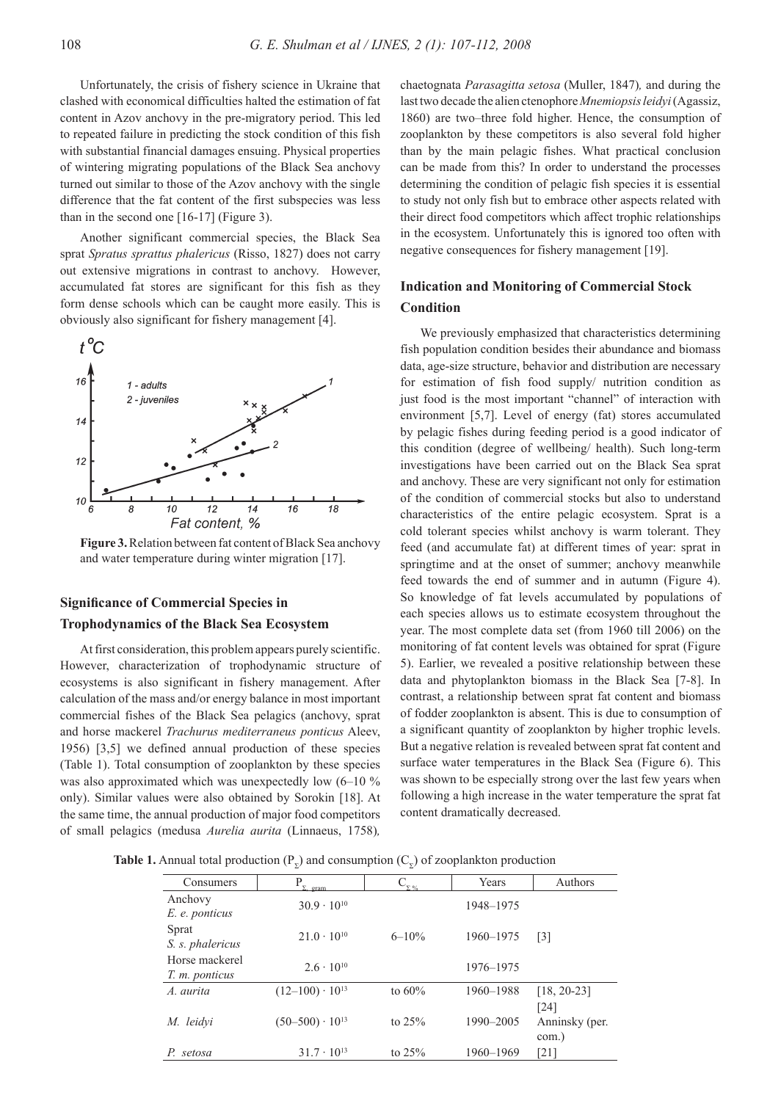Unfortunately, the crisis of fishery science in Ukraine that clashed with economical difficulties halted the estimation of fat content in Azov anchovy in the pre-migratory period. This led to repeated failure in predicting the stock condition of this fish with substantial financial damages ensuing. Physical properties of wintering migrating populations of the Black Sea anchovy turned out similar to those of the Azov anchovy with the single difference that the fat content of the first subspecies was less than in the second one [16-17] (Figure 3).

Another significant commercial species, the Black Sea sprat *Spratus sprattus phalericus* (Risso, 1827) does not carry out extensive migrations in contrast to anchovy. However, accumulated fat stores are significant for this fish as they form dense schools which can be caught more easily. This is obviously also significant for fishery management [4].



**Figure 3.** Relation between fat content of Black Sea anchovy and water temperature during winter migration [17].

## **Significance of Commercial Species in Trophodynamics of the Black Sea Ecosystem**

At first consideration, this problem appears purely scientific. However, characterization of trophodynamic structure of ecosystems is also significant in fishery management. After calculation of the mass and/or energy balance in most important commercial fishes of the Black Sea pelagics (anchovy, sprat and horse mackerel *Trachurus mediterraneus ponticus* Aleev, 1956) [3,5] we defined annual production of these species (Table 1). Total consumption of zooplankton by these species was also approximated which was unexpectedly low  $(6-10\%$ only). Similar values were also obtained by Sorokin [18]. At the same time, the annual production of major food competitors of small pelagics (medusa *Aurelia aurita* (Linnaeus, 1758)*,*

chaetognata *Parasagitta setosa* (Muller, 1847)*,* and during the last two decade the alien ctenophore *Mnemiopsis leidyi* (Agassiz, 1860) are two–three fold higher. Hence, the consumption of zooplankton by these competitors is also several fold higher than by the main pelagic fishes. What practical conclusion can be made from this? In order to understand the processes determining the condition of pelagic fish species it is essential to study not only fish but to embrace other aspects related with their direct food competitors which affect trophic relationships in the ecosystem. Unfortunately this is ignored too often with negative consequences for fishery management [19].

## **Indication and Monitoring of Commercial Stock Condition**

We previously emphasized that characteristics determining fish population condition besides their abundance and biomass data, age-size structure, behavior and distribution are necessary for estimation of fish food supply/ nutrition condition as just food is the most important "channel" of interaction with environment [5,7]. Level of energy (fat) stores accumulated by pelagic fishes during feeding period is a good indicator of this condition (degree of wellbeing/ health). Such long-term investigations have been carried out on the Black Sea sprat and anchovy. These are very significant not only for estimation of the condition of commercial stocks but also to understand characteristics of the entire pelagic ecosystem. Sprat is a cold tolerant species whilst anchovy is warm tolerant. They feed (and accumulate fat) at different times of year: sprat in springtime and at the onset of summer; anchovy meanwhile feed towards the end of summer and in autumn (Figure 4). So knowledge of fat levels accumulated by populations of each species allows us to estimate ecosystem throughout the year. The most complete data set (from 1960 till 2006) on the monitoring of fat content levels was obtained for sprat (Figure 5). Earlier, we revealed a positive relationship between these data and phytoplankton biomass in the Black Sea [7-8]. In contrast, a relationship between sprat fat content and biomass of fodder zooplankton is absent. This is due to consumption of a significant quantity of zooplankton by higher trophic levels. But a negative relation is revealed between sprat fat content and surface water temperatures in the Black Sea (Figure 6). This was shown to be especially strong over the last few years when following a high increase in the water temperature the sprat fat content dramatically decreased.

**Table 1.** Annual total production  $(P_{\gamma})$  and consumption  $(C_{\gamma})$  of zooplankton production

| Consumers                        | gram                     | $C_{\Sigma_{\infty}}$ | Years     | Authors                         |
|----------------------------------|--------------------------|-----------------------|-----------|---------------------------------|
| Anchovy<br>E. e. ponticus        | $30.9 \cdot 10^{10}$     |                       | 1948-1975 |                                 |
| Sprat<br>S. s. phalericus        | $21.0 \cdot 10^{10}$     | $6 - 10\%$            | 1960-1975 | $\lceil 3 \rceil$               |
| Horse mackerel<br>T. m. ponticus | $2.6 \cdot 10^{10}$      |                       | 1976-1975 |                                 |
| A. aurita                        | $(12-100) \cdot 10^{13}$ | to $60\%$             | 1960-1988 | $[18, 20-23]$                   |
| M. leidyi                        | $(50-500) \cdot 10^{13}$ | to $25%$              | 1990-2005 | [24]<br>Anninsky (per.<br>com.) |
| setosa                           | $31.7 \cdot 10^{13}$     | to $25%$              | 1960-1969 | [21]                            |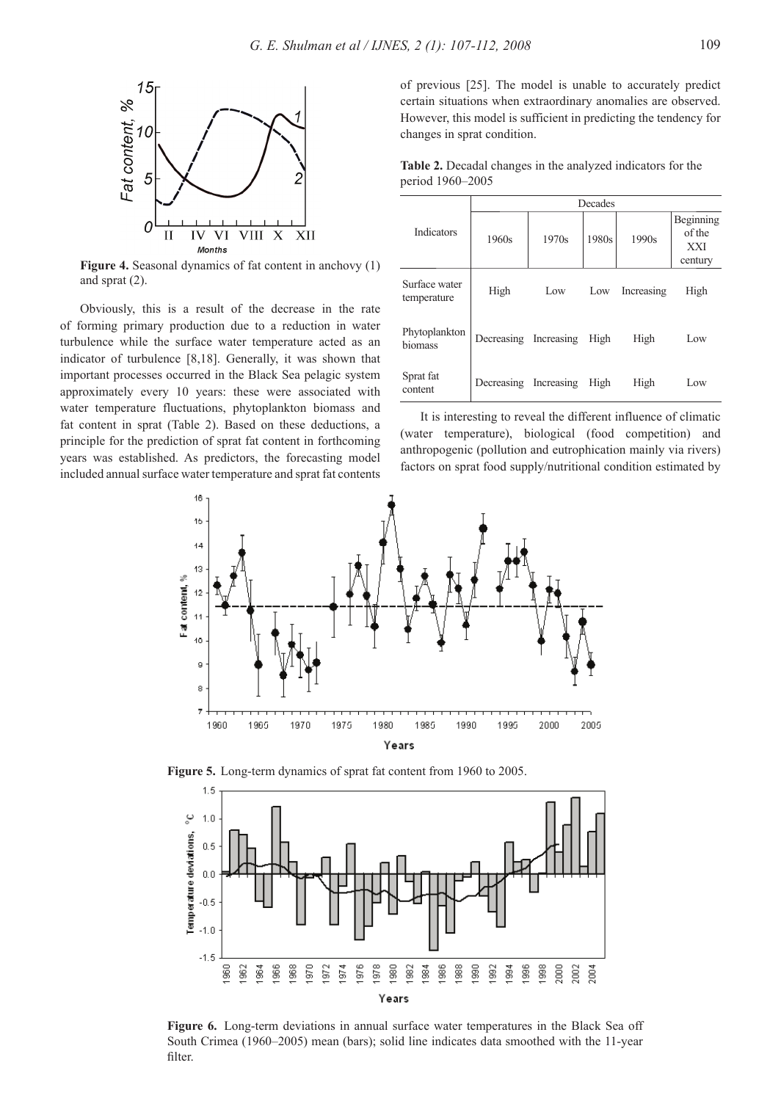

**Figure 4.** Seasonal dynamics of fat content in anchovy (1) and sprat (2).

Obviously, this is a result of the decrease in the rate of forming primary production due to a reduction in water turbulence while the surface water temperature acted as an indicator of turbulence [8,18]. Generally, it was shown that important processes occurred in the Black Sea pelagic system approximately every 10 years: these were associated with water temperature fluctuations, phytoplankton biomass and fat content in sprat (Table 2). Based on these deductions, a principle for the prediction of sprat fat content in forthcoming years was established. As predictors, the forecasting model included annual surface water temperature and sprat fat contents of previous [25]. The model is unable to accurately predict certain situations when extraordinary anomalies are observed. However, this model is sufficient in predicting the tendency for changes in sprat condition.

**Table 2.** Decadal changes in the analyzed indicators for the period 1960–2005

|                              | Decades    |            |       |            |                                              |  |
|------------------------------|------------|------------|-------|------------|----------------------------------------------|--|
| Indicators                   | 1960s      | 1970s      | 1980s | 1990s      | Beginning<br>of the<br><b>XXI</b><br>century |  |
| Surface water<br>temperature | High       | Low        | Low   | Increasing | High                                         |  |
| Phytoplankton<br>biomass     | Decreasing | Increasing | High  | High       | Low                                          |  |
| Sprat fat<br>content         | Decreasing | Increasing | High  | High       | Low                                          |  |

It is interesting to reveal the different influence of climatic (water temperature), biological (food competition) and anthropogenic (pollution and eutrophication mainly via rivers) factors on sprat food supply/nutritional condition estimated by







**Figure 6.** Long-term deviations in annual surface water temperatures in the Black Sea off South Crimea (1960–2005) mean (bars); solid line indicates data smoothed with the 11-year filter.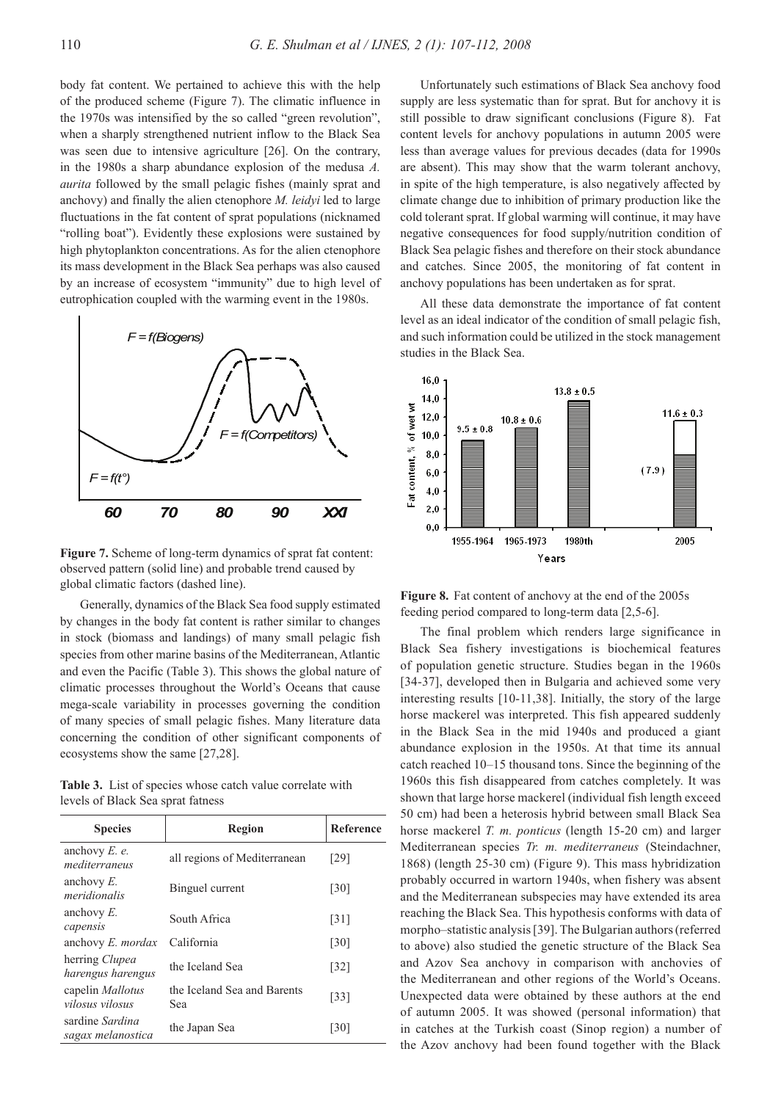body fat content. We pertained to achieve this with the help of the produced scheme (Figure 7). The climatic influence in the 1970s was intensified by the so called "green revolution", when a sharply strengthened nutrient inflow to the Black Sea was seen due to intensive agriculture [26]. On the contrary, in the 1980s a sharp abundance explosion of the medusa *A. aurita* followed by the small pelagic fishes (mainly sprat and anchovy) and finally the alien ctenophore *M. leidyi* led to large fluctuations in the fat content of sprat populations (nicknamed "rolling boat"). Evidently these explosions were sustained by high phytoplankton concentrations. As for the alien ctenophore its mass development in the Black Sea perhaps was also caused by an increase of ecosystem "immunity" due to high level of eutrophication coupled with the warming event in the 1980s.



**Figure 7.** Scheme of long-term dynamics of sprat fat content: observed pattern (solid line) and probable trend caused by global climatic factors (dashed line).

Generally, dynamics of the Black Sea food supply estimated by changes in the body fat content is rather similar to changes in stock (biomass and landings) of many small pelagic fish species from other marine basins of the Mediterranean, Atlantic and even the Pacific (Table 3). This shows the global nature of climatic processes throughout the World's Oceans that cause mega-scale variability in processes governing the condition of many species of small pelagic fishes. Many literature data concerning the condition of other significant components of ecosystems show the same [27,28].

**Table 3.** List of species whose catch value correlate with levels of Black Sea sprat fatness

| <b>Species</b>                       | Region                             | Reference          |
|--------------------------------------|------------------------------------|--------------------|
| anchovy $E$ . $e$ .<br>mediterraneus | all regions of Mediterranean       | [29]               |
| anchovy $E$ .<br>meridionalis        | Binguel current                    | $\lceil 30 \rceil$ |
| anchovy $E$ .<br>capensis            | South Africa                       | $\lceil 31 \rceil$ |
| anchovy E. mordax                    | California                         | $\lceil 30 \rceil$ |
| herring Clupea<br>harengus harengus  | the Iceland Sea                    | $\lceil 32 \rceil$ |
| capelin Mallotus<br>vilosus vilosus  | the Iceland Sea and Barents<br>Sea | $[33]$             |
| sardine Sardina<br>sagax melanostica | the Japan Sea                      | [30]               |

Unfortunately such estimations of Black Sea anchovy food supply are less systematic than for sprat. But for anchovy it is still possible to draw significant conclusions (Figure 8). Fat content levels for anchovy populations in autumn 2005 were less than average values for previous decades (data for 1990s are absent). This may show that the warm tolerant anchovy, in spite of the high temperature, is also negatively affected by climate change due to inhibition of primary production like the cold tolerant sprat. If global warming will continue, it may have negative consequences for food supply/nutrition condition of Black Sea pelagic fishes and therefore on their stock abundance and catches. Since 2005, the monitoring of fat content in anchovy populations has been undertaken as for sprat.

All these data demonstrate the importance of fat content level as an ideal indicator of the condition of small pelagic fish, and such information could be utilized in the stock management studies in the Black Sea.



**Figure 8.** Fat content of anchovy at the end of the 2005s feeding period compared to long-term data [2,5-6].

The final problem which renders large significance in Black Sea fishery investigations is biochemical features of population genetic structure. Studies began in the 1960s [34-37], developed then in Bulgaria and achieved some very interesting results [10-11,38]. Initially, the story of the large horse mackerel was interpreted. This fish appeared suddenly in the Black Sea in the mid 1940s and produced a giant abundance explosion in the 1950s. At that time its annual catch reached 10–15 thousand tons. Since the beginning of the 1960s this fish disappeared from catches completely. It was shown that large horse mackerel (individual fish length exceed 50 cm) had been a heterosis hybrid between small Black Sea horse mackerel *T. m. ponticus* (length 15-20 cm) and larger Mediterranean species *Tr. m. mediterraneus* (Steindachner, 1868) (length 25-30 cm) (Figure 9). This mass hybridization probably occurred in wartorn 1940s, when fishery was absent and the Mediterranean subspecies may have extended its area reaching the Black Sea. This hypothesis conforms with data of morpho–statistic analysis [39]. The Bulgarian authors (referred to above) also studied the genetic structure of the Black Sea and Azov Sea anchovy in comparison with anchovies of the Mediterranean and other regions of the World's Oceans. Unexpected data were obtained by these authors at the end of autumn 2005. It was showed (personal information) that in catches at the Turkish coast (Sinop region) a number of the Azov anchovy had been found together with the Black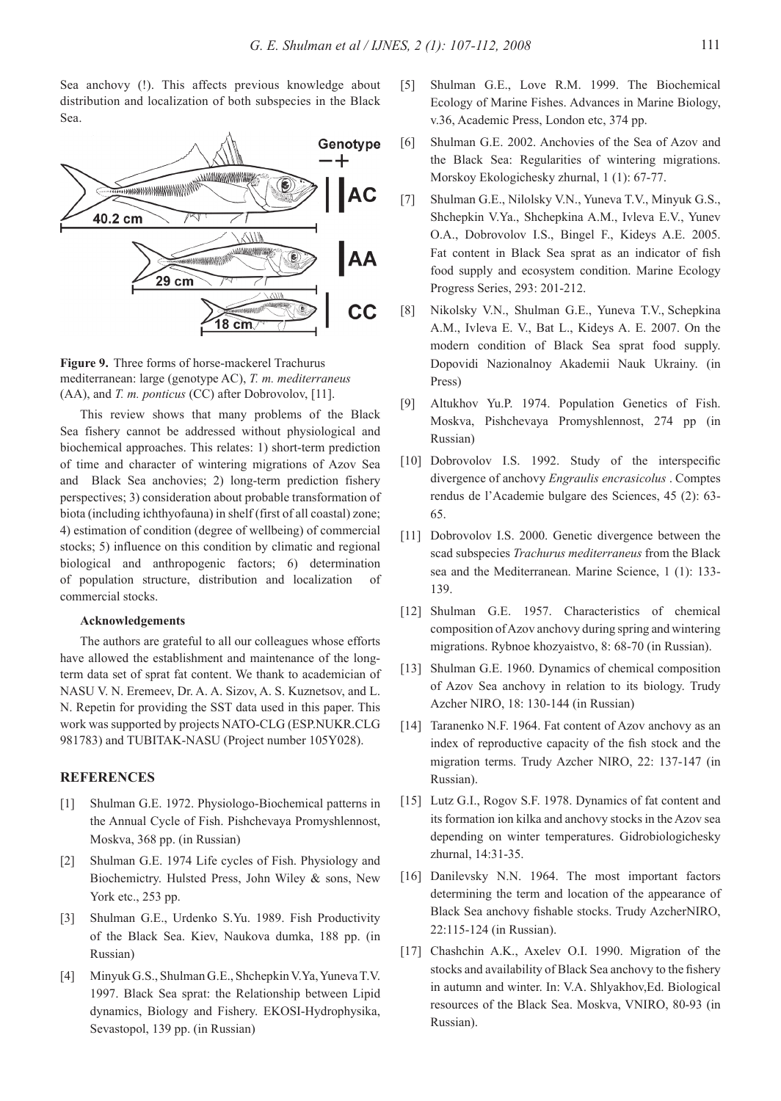Sea anchovy (!). This affects previous knowledge about distribution and localization of both subspecies in the Black Sea.



**Figure 9.** Three forms of horse-mackerel Trachurus mediterranean: large (genotype AC), *T. m. mediterraneus* (AA), and *T. m. ponticus* (CC) after Dobrovolov, [11].

This review shows that many problems of the Black Sea fishery cannot be addressed without physiological and biochemical approaches. This relates: 1) short-term prediction of time and character of wintering migrations of Azov Sea and Black Sea anchovies; 2) long-term prediction fishery perspectives; 3) consideration about probable transformation of biota (including ichthyofauna) in shelf (first of all coastal) zone; 4) estimation of condition (degree of wellbeing) of commercial stocks; 5) influence on this condition by climatic and regional biological and anthropogenic factors; 6) determination of population structure, distribution and localization of commercial stocks.

### **Acknowledgements**

The authors are grateful to all our colleagues whose efforts have allowed the establishment and maintenance of the longterm data set of sprat fat content. We thank to academician of NASU V. N. Eremeev, Dr. A. A. Sizov, A. S. Kuznetsov, and L. N. Repetin for providing the SST data used in this paper. This work was supported by projects NATO-CLG (ESP.NUKR.CLG 981783) and TUBITAK-NASU (Project number 105Y028).

## **REFERENCES**

- [1] Shulman G.E. 1972. Physiologo-Biochemical patterns in the Annual Cycle of Fish. Pishchevaya Promyshlennost, Moskva, 368 pp. (in Russian)
- [2] Shulman G.E. 1974 Life cycles of Fish. Physiology and Biochemictry. Hulsted Press, John Wiley & sons, New York etc., 253 pp.
- [3] Shulman G.E., Urdenko S.Yu. 1989. Fish Productivity of the Black Sea. Kiev, Naukova dumka, 188 pp. (in Russian)
- [4] Minyuk G.S., Shulman G.E., Shchepkin V.Ya, Yuneva T.V. 1997. Black Sea sprat: the Relationship between Lipid dynamics, Biology and Fishery. EKOSI-Hydrophysika, Sevastopol, 139 pp. (in Russian)
- [5] Shulman G.E., Love R.M. 1999. The Biochemical Ecology of Marine Fishes. Advances in Marine Biology, v.36, Academic Press, London etc, 374 pp.
- [6] Shulman G.E. 2002. Anchovies of the Sea of Azov and the Black Sea: Regularities of wintering migrations. Morskoy Ekologichesky zhurnal, 1 (1): 67-77.
- [7] Shulman G.E., Nilolsky V.N., Yuneva T.V., Minyuk G.S., Shchepkin V.Ya., Shchepkina A.M., Ivleva E.V., Yunev O.A., Dobrovolov I.S., Bingel F., Kideys A.E. 2005. Fat content in Black Sea sprat as an indicator of fish food supply and ecosystem condition. Marine Ecology Progress Series, 293: 201-212.
- [8] Nikolsky V.N., Shulman G.E., Yuneva T.V., Schepkina A.M., Ivleva E. V., Bat L., Kideys A. E. 2007. On the modern condition of Black Sea sprat food supply. Dopovidi Nazionalnoy Akademii Nauk Ukrainy. (in Press)
- [9] Altukhov Yu.P. 1974. Population Genetics of Fish. Moskva, Pishchevaya Promyshlennost, 274 pp (in Russian)
- [10] Dobrovolov I.S. 1992. Study of the interspecific divergence of anchovy *Engraulis encrasicolus* . Comptes rendus de l'Academie bulgare des Sciences, 45 (2): 63- 65.
- [11] Dobrovolov I.S. 2000. Genetic divergence between the scad subspecies *Trachurus mediterraneus* from the Black sea and the Mediterranean. Marine Science, 1 (1): 133- 139.
- [12] Shulman G.E. 1957. Characteristics of chemical composition of Azov anchovy during spring and wintering migrations. Rybnoe khozyaistvo, 8: 68-70 (in Russian).
- [13] Shulman G.E. 1960. Dynamics of chemical composition of Azov Sea anchovy in relation to its biology. Trudy Azcher NIRO, 18: 130-144 (in Russian)
- [14] Taranenko N.F. 1964. Fat content of Azov anchovy as an index of reproductive capacity of the fish stock and the migration terms. Trudy Azcher NIRO, 22: 137-147 (in Russian).
- [15] Lutz G.I., Rogov S.F. 1978. Dynamics of fat content and its formation ion kilka and anchovy stocks in the Azov sea depending on winter temperatures. Gidrobiologichesky zhurnal, 14:31-35.
- [16] Danilevsky N.N. 1964. The most important factors determining the term and location of the appearance of Black Sea anchovy fishable stocks. Trudy AzcherNIRO, 22:115-124 (in Russian).
- [17] Chashchin A.K., Axelev O.I. 1990. Migration of the stocks and availability of Black Sea anchovy to the fishery in autumn and winter. In: V.A. Shlyakhov,Ed. Biological resources of the Black Sea. Moskva, VNIRO, 80-93 (in Russian).